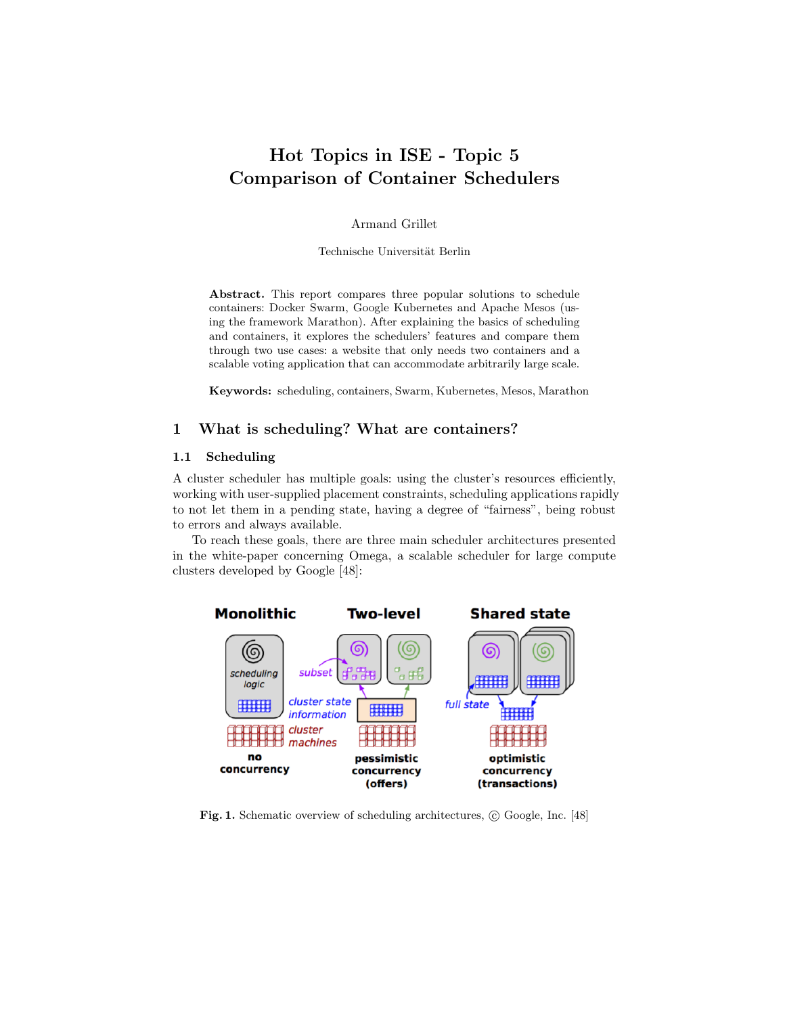# Hot Topics in ISE - Topic 5 Comparison of Container Schedulers

Armand Grillet

Technische Universität Berlin

Abstract. This report compares three popular solutions to schedule containers: Docker Swarm, Google Kubernetes and Apache Mesos (using the framework Marathon). After explaining the basics of scheduling and containers, it explores the schedulers' features and compare them through two use cases: a website that only needs two containers and a scalable voting application that can accommodate arbitrarily large scale.

Keywords: scheduling, containers, Swarm, Kubernetes, Mesos, Marathon

# 1 What is scheduling? What are containers?

# 1.1 Scheduling

A cluster scheduler has multiple goals: using the cluster's resources efficiently, working with user-supplied placement constraints, scheduling applications rapidly to not let them in a pending state, having a degree of "fairness", being robust to errors and always available.

To reach these goals, there are three main scheduler architectures presented in the white-paper concerning Omega, a scalable scheduler for large compute clusters developed by Google [48]:



Fig. 1. Schematic overview of scheduling architectures,  $\odot$  Google, Inc. [48]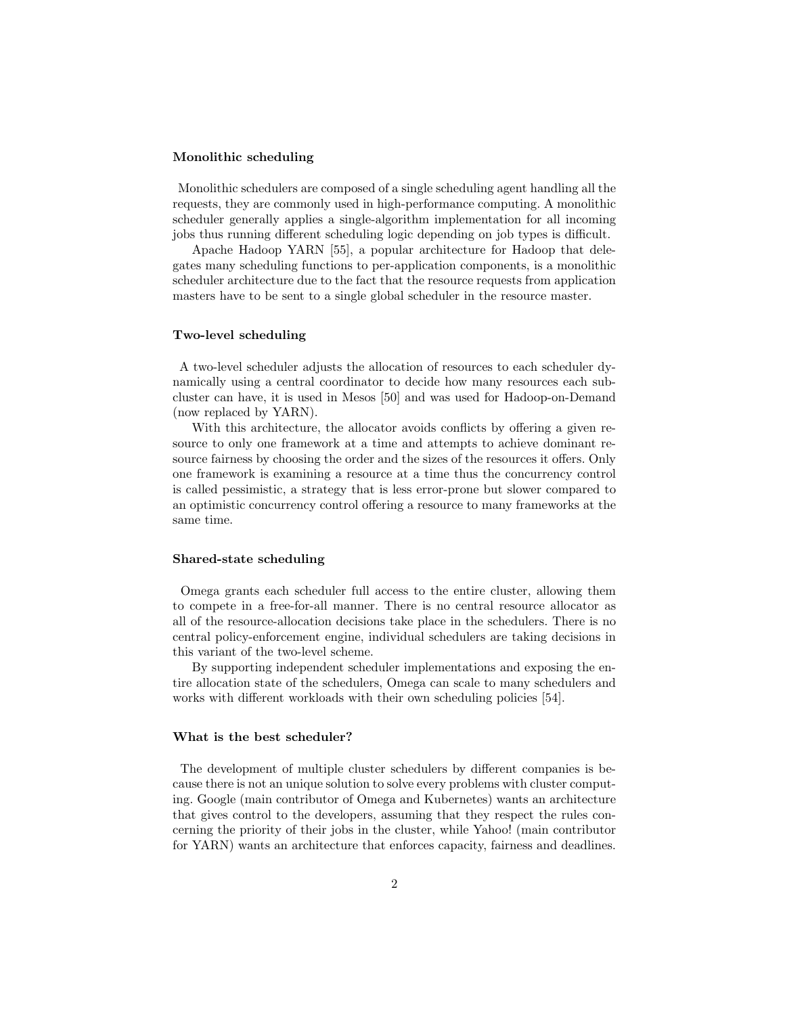#### Monolithic scheduling

Monolithic schedulers are composed of a single scheduling agent handling all the requests, they are commonly used in high-performance computing. A monolithic scheduler generally applies a single-algorithm implementation for all incoming jobs thus running different scheduling logic depending on job types is difficult.

Apache Hadoop YARN [55], a popular architecture for Hadoop that delegates many scheduling functions to per-application components, is a monolithic scheduler architecture due to the fact that the resource requests from application masters have to be sent to a single global scheduler in the resource master.

#### Two-level scheduling

A two-level scheduler adjusts the allocation of resources to each scheduler dynamically using a central coordinator to decide how many resources each subcluster can have, it is used in Mesos [50] and was used for Hadoop-on-Demand (now replaced by YARN).

With this architecture, the allocator avoids conflicts by offering a given resource to only one framework at a time and attempts to achieve dominant resource fairness by choosing the order and the sizes of the resources it offers. Only one framework is examining a resource at a time thus the concurrency control is called pessimistic, a strategy that is less error-prone but slower compared to an optimistic concurrency control offering a resource to many frameworks at the same time.

#### Shared-state scheduling

Omega grants each scheduler full access to the entire cluster, allowing them to compete in a free-for-all manner. There is no central resource allocator as all of the resource-allocation decisions take place in the schedulers. There is no central policy-enforcement engine, individual schedulers are taking decisions in this variant of the two-level scheme.

By supporting independent scheduler implementations and exposing the entire allocation state of the schedulers, Omega can scale to many schedulers and works with different workloads with their own scheduling policies [54].

#### What is the best scheduler?

The development of multiple cluster schedulers by different companies is because there is not an unique solution to solve every problems with cluster computing. Google (main contributor of Omega and Kubernetes) wants an architecture that gives control to the developers, assuming that they respect the rules concerning the priority of their jobs in the cluster, while Yahoo! (main contributor for YARN) wants an architecture that enforces capacity, fairness and deadlines.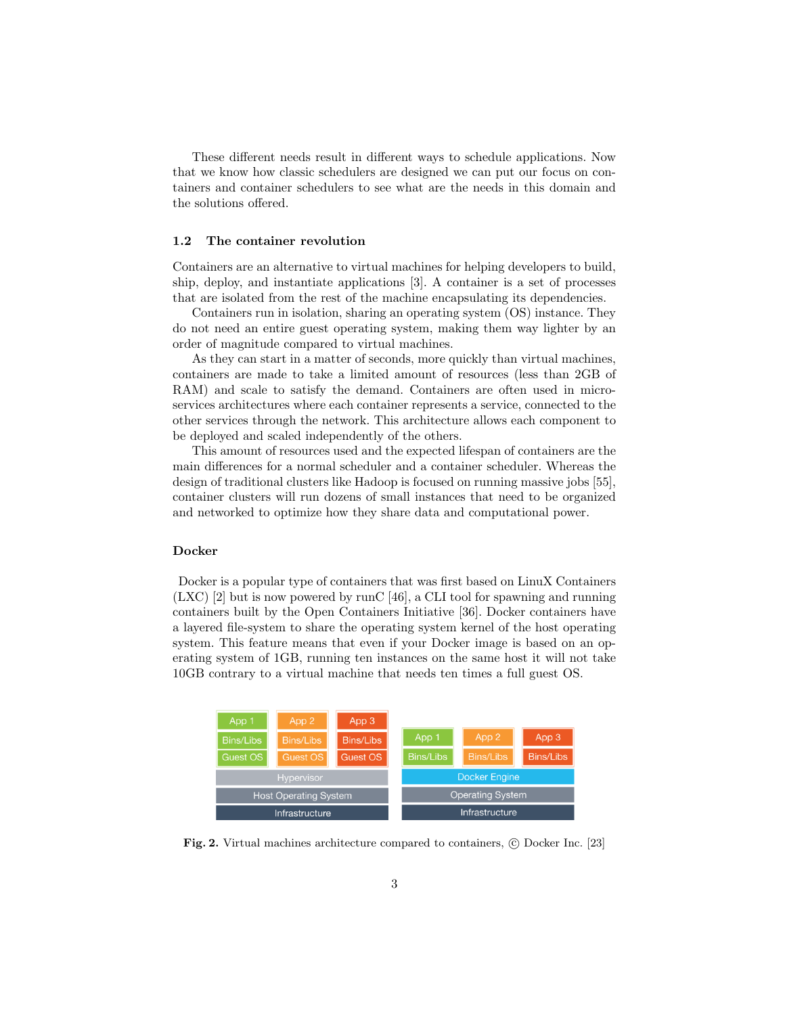These different needs result in different ways to schedule applications. Now that we know how classic schedulers are designed we can put our focus on containers and container schedulers to see what are the needs in this domain and the solutions offered.

### 1.2 The container revolution

Containers are an alternative to virtual machines for helping developers to build, ship, deploy, and instantiate applications [3]. A container is a set of processes that are isolated from the rest of the machine encapsulating its dependencies.

Containers run in isolation, sharing an operating system (OS) instance. They do not need an entire guest operating system, making them way lighter by an order of magnitude compared to virtual machines.

As they can start in a matter of seconds, more quickly than virtual machines, containers are made to take a limited amount of resources (less than 2GB of RAM) and scale to satisfy the demand. Containers are often used in microservices architectures where each container represents a service, connected to the other services through the network. This architecture allows each component to be deployed and scaled independently of the others.

This amount of resources used and the expected lifespan of containers are the main differences for a normal scheduler and a container scheduler. Whereas the design of traditional clusters like Hadoop is focused on running massive jobs [55], container clusters will run dozens of small instances that need to be organized and networked to optimize how they share data and computational power.

#### Docker

Docker is a popular type of containers that was first based on LinuX Containers (LXC) [2] but is now powered by runC [46], a CLI tool for spawning and running containers built by the Open Containers Initiative [36]. Docker containers have a layered file-system to share the operating system kernel of the host operating system. This feature means that even if your Docker image is based on an operating system of 1GB, running ten instances on the same host it will not take 10GB contrary to a virtual machine that needs ten times a full guest OS.



Fig. 2. Virtual machines architecture compared to containers, © Docker Inc. [23]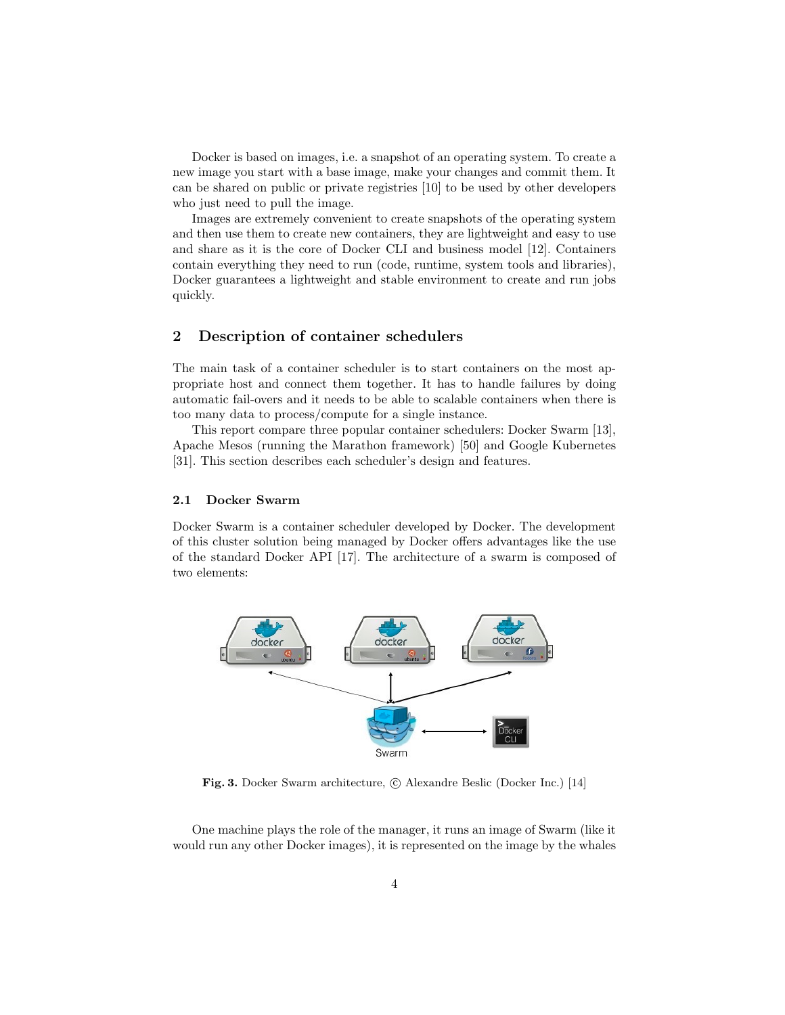Docker is based on images, i.e. a snapshot of an operating system. To create a new image you start with a base image, make your changes and commit them. It can be shared on public or private registries [10] to be used by other developers who just need to pull the image.

Images are extremely convenient to create snapshots of the operating system and then use them to create new containers, they are lightweight and easy to use and share as it is the core of Docker CLI and business model [12]. Containers contain everything they need to run (code, runtime, system tools and libraries), Docker guarantees a lightweight and stable environment to create and run jobs quickly.

# 2 Description of container schedulers

The main task of a container scheduler is to start containers on the most appropriate host and connect them together. It has to handle failures by doing automatic fail-overs and it needs to be able to scalable containers when there is too many data to process/compute for a single instance.

This report compare three popular container schedulers: Docker Swarm [13], Apache Mesos (running the Marathon framework) [50] and Google Kubernetes [31]. This section describes each scheduler's design and features.

### 2.1 Docker Swarm

Docker Swarm is a container scheduler developed by Docker. The development of this cluster solution being managed by Docker offers advantages like the use of the standard Docker API [17]. The architecture of a swarm is composed of two elements:



Fig. 3. Docker Swarm architecture, © Alexandre Beslic (Docker Inc.) [14]

One machine plays the role of the manager, it runs an image of Swarm (like it would run any other Docker images), it is represented on the image by the whales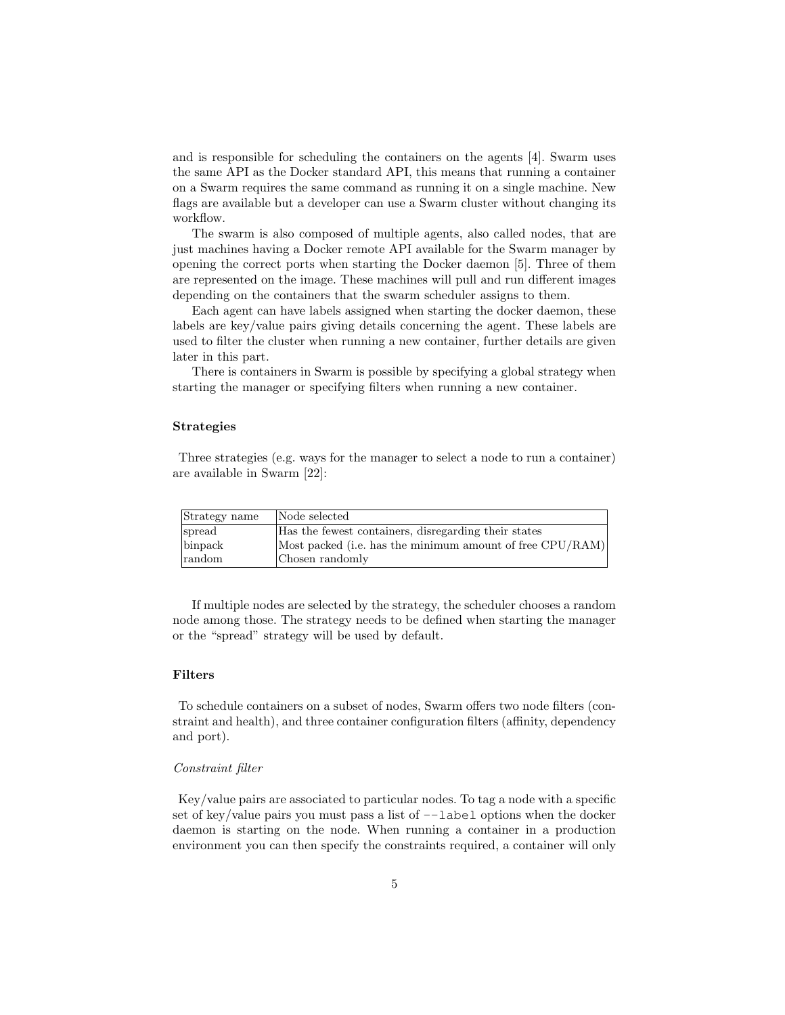and is responsible for scheduling the containers on the agents [4]. Swarm uses the same API as the Docker standard API, this means that running a container on a Swarm requires the same command as running it on a single machine. New flags are available but a developer can use a Swarm cluster without changing its workflow.

The swarm is also composed of multiple agents, also called nodes, that are just machines having a Docker remote API available for the Swarm manager by opening the correct ports when starting the Docker daemon [5]. Three of them are represented on the image. These machines will pull and run different images depending on the containers that the swarm scheduler assigns to them.

Each agent can have labels assigned when starting the docker daemon, these labels are key/value pairs giving details concerning the agent. These labels are used to filter the cluster when running a new container, further details are given later in this part.

There is containers in Swarm is possible by specifying a global strategy when starting the manager or specifying filters when running a new container.

#### Strategies

Three strategies (e.g. ways for the manager to select a node to run a container) are available in Swarm [22]:

| Strategy name | Node selected                                             |
|---------------|-----------------------------------------------------------|
| spread        | Has the fewest containers, disregarding their states      |
| binpack       | Most packed (i.e. has the minimum amount of free CPU/RAM) |
| random        | Chosen randomly                                           |

If multiple nodes are selected by the strategy, the scheduler chooses a random node among those. The strategy needs to be defined when starting the manager or the "spread" strategy will be used by default.

### Filters

To schedule containers on a subset of nodes, Swarm offers two node filters (constraint and health), and three container configuration filters (affinity, dependency and port).

#### Constraint filter

Key/value pairs are associated to particular nodes. To tag a node with a specific set of key/value pairs you must pass a list of  $-\text{-label}$  options when the docker daemon is starting on the node. When running a container in a production environment you can then specify the constraints required, a container will only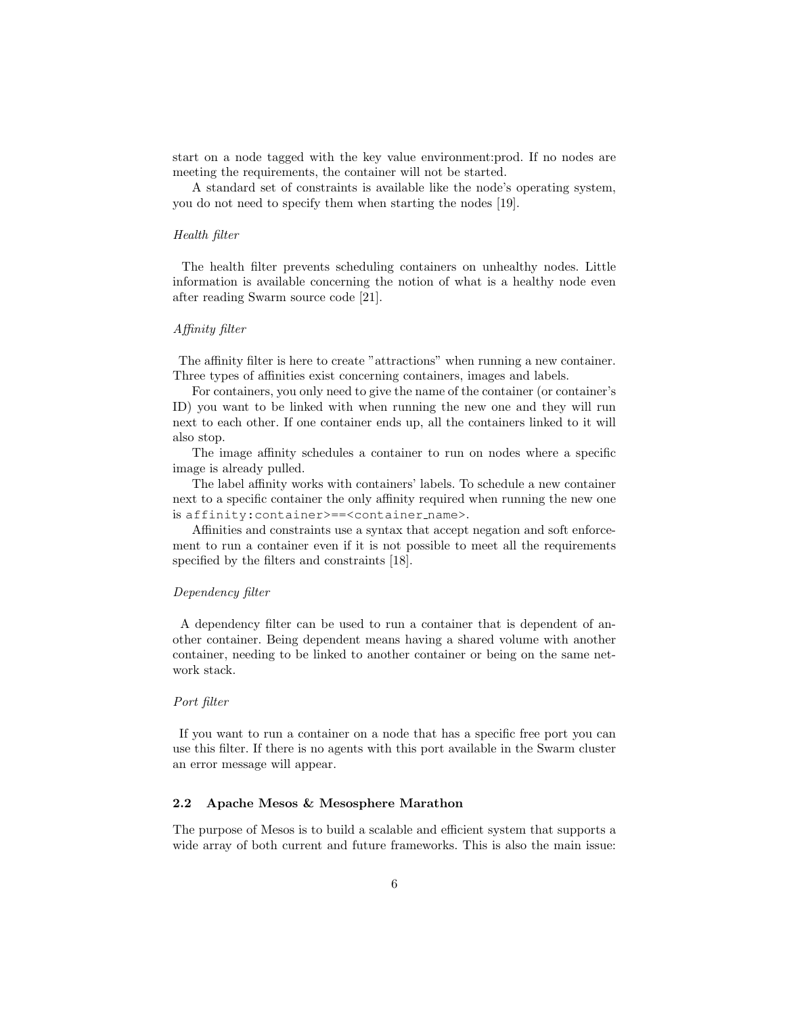start on a node tagged with the key value environment:prod. If no nodes are meeting the requirements, the container will not be started.

A standard set of constraints is available like the node's operating system, you do not need to specify them when starting the nodes [19].

#### Health filter

The health filter prevents scheduling containers on unhealthy nodes. Little information is available concerning the notion of what is a healthy node even after reading Swarm source code [21].

### Affinity filter

The affinity filter is here to create "attractions" when running a new container. Three types of affinities exist concerning containers, images and labels.

For containers, you only need to give the name of the container (or container's ID) you want to be linked with when running the new one and they will run next to each other. If one container ends up, all the containers linked to it will also stop.

The image affinity schedules a container to run on nodes where a specific image is already pulled.

The label affinity works with containers' labels. To schedule a new container next to a specific container the only affinity required when running the new one is affinity:container>==<container name>.

Affinities and constraints use a syntax that accept negation and soft enforcement to run a container even if it is not possible to meet all the requirements specified by the filters and constraints [18].

### Dependency filter

A dependency filter can be used to run a container that is dependent of another container. Being dependent means having a shared volume with another container, needing to be linked to another container or being on the same network stack.

#### Port filter

If you want to run a container on a node that has a specific free port you can use this filter. If there is no agents with this port available in the Swarm cluster an error message will appear.

### 2.2 Apache Mesos & Mesosphere Marathon

The purpose of Mesos is to build a scalable and efficient system that supports a wide array of both current and future frameworks. This is also the main issue: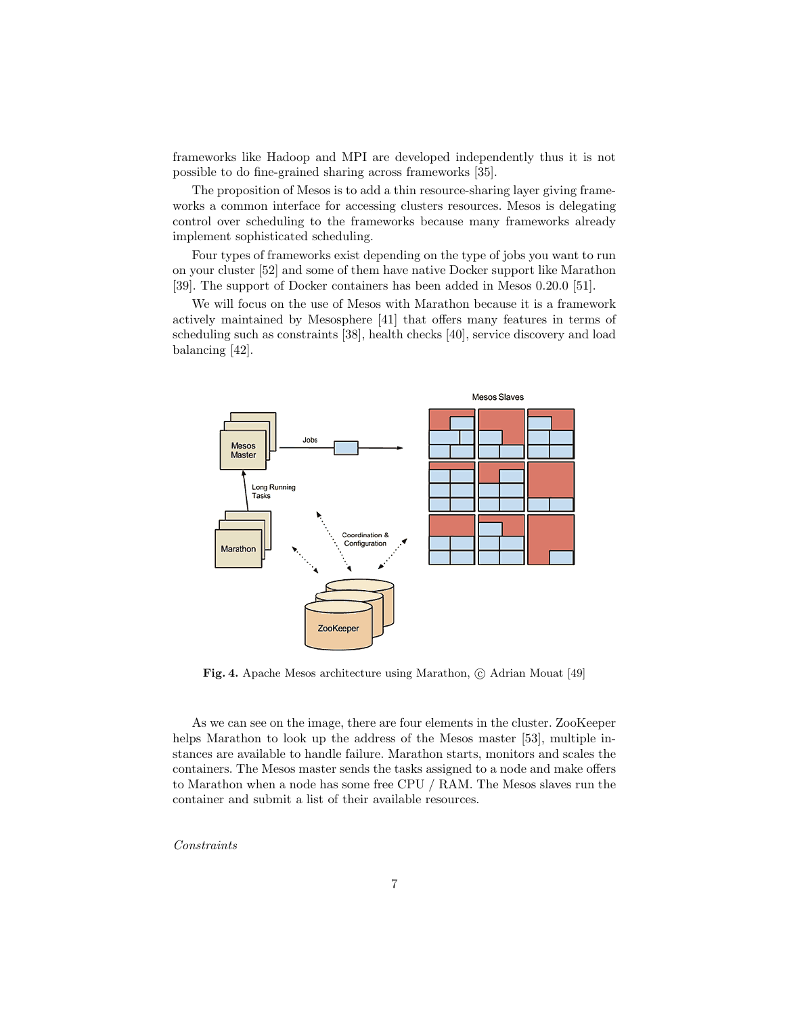frameworks like Hadoop and MPI are developed independently thus it is not possible to do fine-grained sharing across frameworks [35].

The proposition of Mesos is to add a thin resource-sharing layer giving frameworks a common interface for accessing clusters resources. Mesos is delegating control over scheduling to the frameworks because many frameworks already implement sophisticated scheduling.

Four types of frameworks exist depending on the type of jobs you want to run on your cluster [52] and some of them have native Docker support like Marathon [39]. The support of Docker containers has been added in Mesos 0.20.0 [51].

We will focus on the use of Mesos with Marathon because it is a framework actively maintained by Mesosphere [41] that offers many features in terms of scheduling such as constraints [38], health checks [40], service discovery and load balancing [42].



Fig. 4. Apache Mesos architecture using Marathon,  $\odot$  Adrian Mouat [49]

As we can see on the image, there are four elements in the cluster. ZooKeeper helps Marathon to look up the address of the Mesos master [53], multiple instances are available to handle failure. Marathon starts, monitors and scales the containers. The Mesos master sends the tasks assigned to a node and make offers to Marathon when a node has some free CPU / RAM. The Mesos slaves run the container and submit a list of their available resources.

Constraints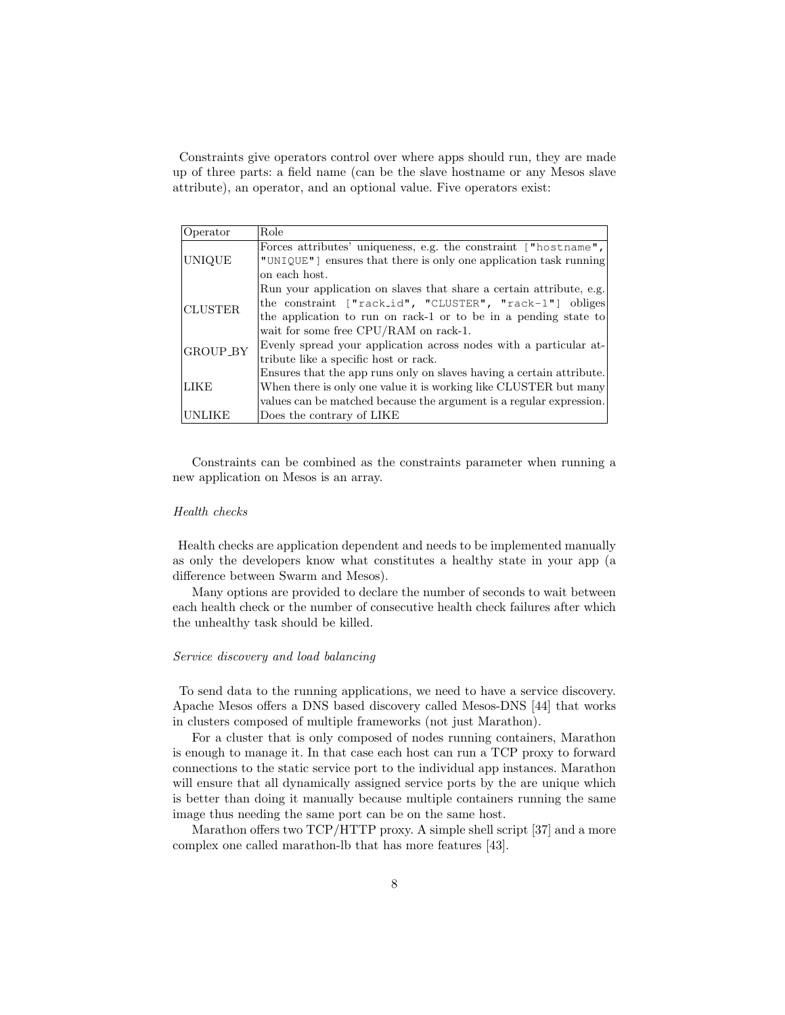Constraints give operators control over where apps should run, they are made up of three parts: a field name (can be the slave hostname or any Mesos slave attribute), an operator, and an optional value. Five operators exist:

| Operator       | Role                                                                 |
|----------------|----------------------------------------------------------------------|
|                | Forces attributes' uniqueness, e.g. the constraint ["hostname",      |
| UNIQUE         | "UNIQUE" ensures that there is only one application task running     |
|                | on each host.                                                        |
|                | Run your application on slaves that share a certain attribute, e.g.  |
| <b>CLUSTER</b> | the constraint ["rack_id", "CLUSTER", "rack-1"] obliges              |
|                | the application to run on rack-1 or to be in a pending state to      |
|                | wait for some free CPU/RAM on rack-1.                                |
| GROUP_BY       | Evenly spread your application across nodes with a particular at-    |
|                | tribute like a specific host or rack.                                |
|                | Ensures that the app runs only on slaves having a certain attribute. |
| LIKE           | When there is only one value it is working like CLUSTER but many     |
|                | values can be matched because the argument is a regular expression.  |
| UNLIKE         | Does the contrary of LIKE                                            |

Constraints can be combined as the constraints parameter when running a new application on Mesos is an array.

### Health checks

Health checks are application dependent and needs to be implemented manually as only the developers know what constitutes a healthy state in your app (a difference between Swarm and Mesos).

Many options are provided to declare the number of seconds to wait between each health check or the number of consecutive health check failures after which the unhealthy task should be killed.

# Service discovery and load balancing

To send data to the running applications, we need to have a service discovery. Apache Mesos offers a DNS based discovery called Mesos-DNS [44] that works in clusters composed of multiple frameworks (not just Marathon).

For a cluster that is only composed of nodes running containers, Marathon is enough to manage it. In that case each host can run a TCP proxy to forward connections to the static service port to the individual app instances. Marathon will ensure that all dynamically assigned service ports by the are unique which is better than doing it manually because multiple containers running the same image thus needing the same port can be on the same host.

Marathon offers two TCP/HTTP proxy. A simple shell script [37] and a more complex one called marathon-lb that has more features [43].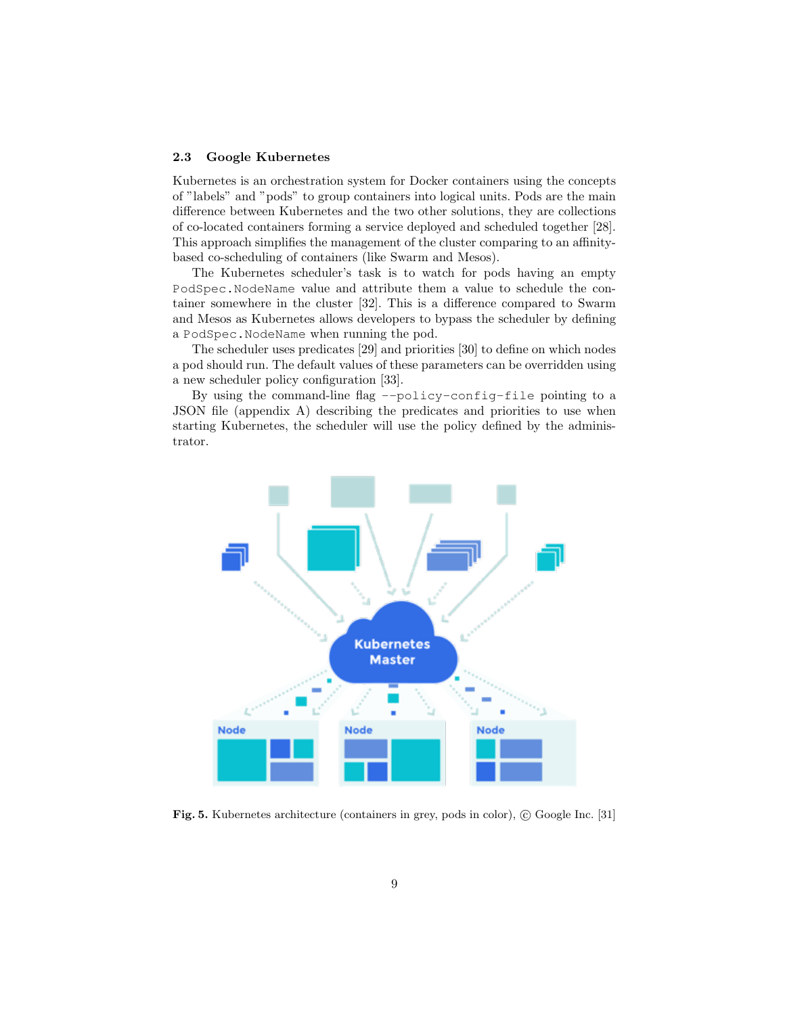#### 2.3 Google Kubernetes

Kubernetes is an orchestration system for Docker containers using the concepts of "labels" and "pods" to group containers into logical units. Pods are the main difference between Kubernetes and the two other solutions, they are collections of co-located containers forming a service deployed and scheduled together [28]. This approach simplifies the management of the cluster comparing to an affinitybased co-scheduling of containers (like Swarm and Mesos).

The Kubernetes scheduler's task is to watch for pods having an empty PodSpec.NodeName value and attribute them a value to schedule the container somewhere in the cluster [32]. This is a difference compared to Swarm and Mesos as Kubernetes allows developers to bypass the scheduler by defining a PodSpec.NodeName when running the pod.

The scheduler uses predicates [29] and priorities [30] to define on which nodes a pod should run. The default values of these parameters can be overridden using a new scheduler policy configuration [33].

By using the command-line flag --policy-config-file pointing to a JSON file (appendix A) describing the predicates and priorities to use when starting Kubernetes, the scheduler will use the policy defined by the administrator.



Fig. 5. Kubernetes architecture (containers in grey, pods in color),  $\odot$  Google Inc. [31]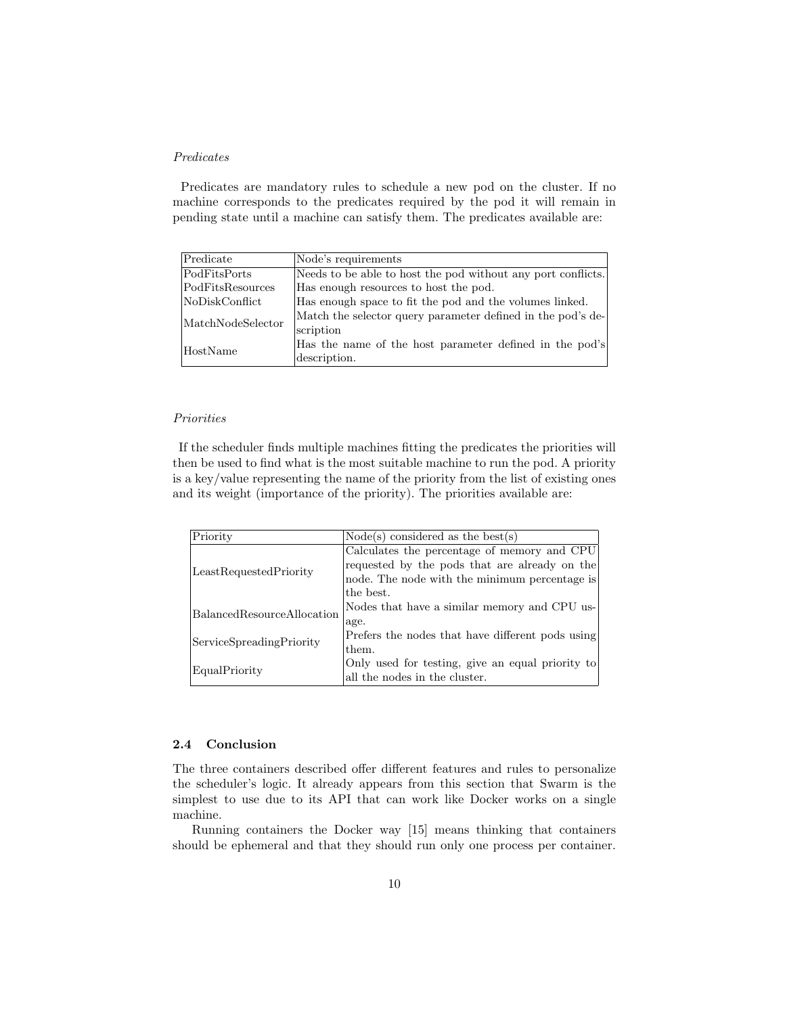# Predicates

Predicates are mandatory rules to schedule a new pod on the cluster. If no machine corresponds to the predicates required by the pod it will remain in pending state until a machine can satisfy them. The predicates available are:

| Predicate         | Node's requirements                                          |
|-------------------|--------------------------------------------------------------|
| PodFitsPorts      | Needs to be able to host the pod without any port conflicts. |
| PodFitsResources  | Has enough resources to host the pod.                        |
| NoDiskConflict    | Has enough space to fit the pod and the volumes linked.      |
| MatchNodeSelector | Match the selector query parameter defined in the pod's de-  |
|                   | scription                                                    |
| HostName          | Has the name of the host parameter defined in the pod's      |
|                   | description.                                                 |

### Priorities

If the scheduler finds multiple machines fitting the predicates the priorities will then be used to find what is the most suitable machine to run the pod. A priority is a key/value representing the name of the priority from the list of existing ones and its weight (importance of the priority). The priorities available are:

| Priority                   | $Node(s)$ considered as the best $(s)$           |
|----------------------------|--------------------------------------------------|
|                            | Calculates the percentage of memory and CPU      |
| LeastRequestedPriority     | requested by the pods that are already on the    |
|                            | node. The node with the minimum percentage is    |
|                            | the best.                                        |
| BalancedResourceAllocation | Nodes that have a similar memory and CPU us-     |
|                            | age.                                             |
| ServiceSpreadingPriority   | Prefers the nodes that have different pods using |
|                            | them.                                            |
| EqualPriority              | Only used for testing, give an equal priority to |
|                            | all the nodes in the cluster.                    |

#### 2.4 Conclusion

The three containers described offer different features and rules to personalize the scheduler's logic. It already appears from this section that Swarm is the simplest to use due to its API that can work like Docker works on a single machine.

Running containers the Docker way [15] means thinking that containers should be ephemeral and that they should run only one process per container.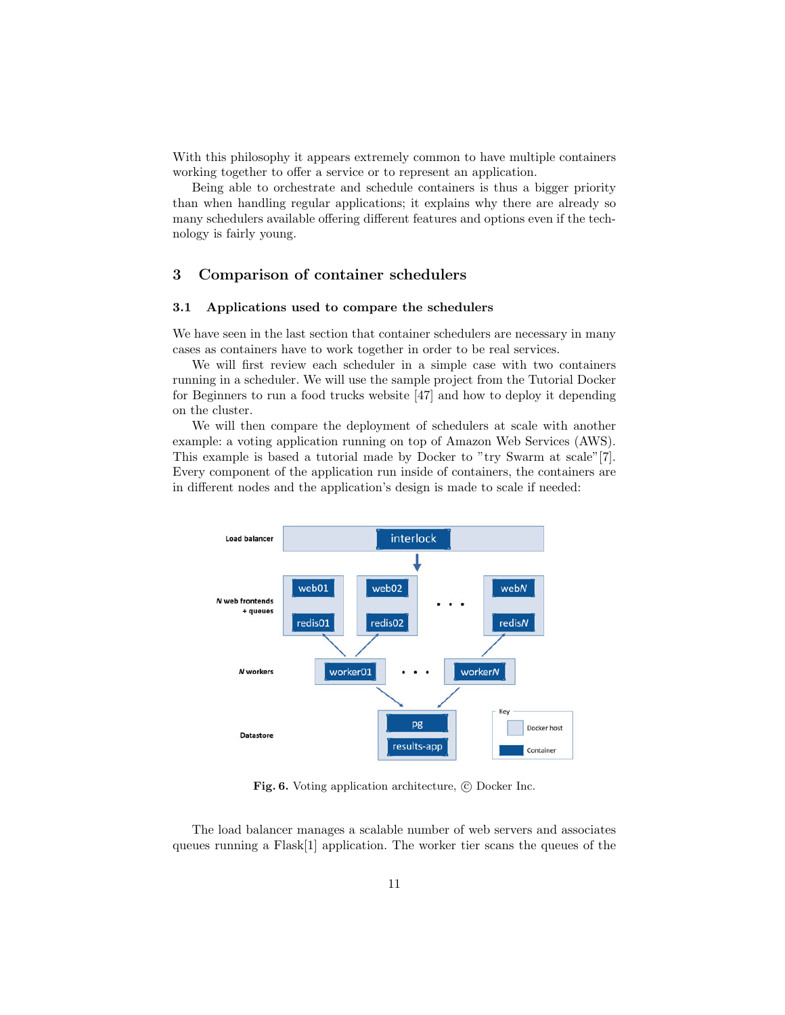With this philosophy it appears extremely common to have multiple containers working together to offer a service or to represent an application.

Being able to orchestrate and schedule containers is thus a bigger priority than when handling regular applications; it explains why there are already so many schedulers available offering different features and options even if the technology is fairly young.

# 3 Comparison of container schedulers

#### 3.1 Applications used to compare the schedulers

We have seen in the last section that container schedulers are necessary in many cases as containers have to work together in order to be real services.

We will first review each scheduler in a simple case with two containers running in a scheduler. We will use the sample project from the Tutorial Docker for Beginners to run a food trucks website [47] and how to deploy it depending on the cluster.

We will then compare the deployment of schedulers at scale with another example: a voting application running on top of Amazon Web Services (AWS). This example is based a tutorial made by Docker to "try Swarm at scale"[7]. Every component of the application run inside of containers, the containers are in different nodes and the application's design is made to scale if needed:



Fig. 6. Voting application architecture,  $\odot$  Docker Inc.

The load balancer manages a scalable number of web servers and associates queues running a Flask[1] application. The worker tier scans the queues of the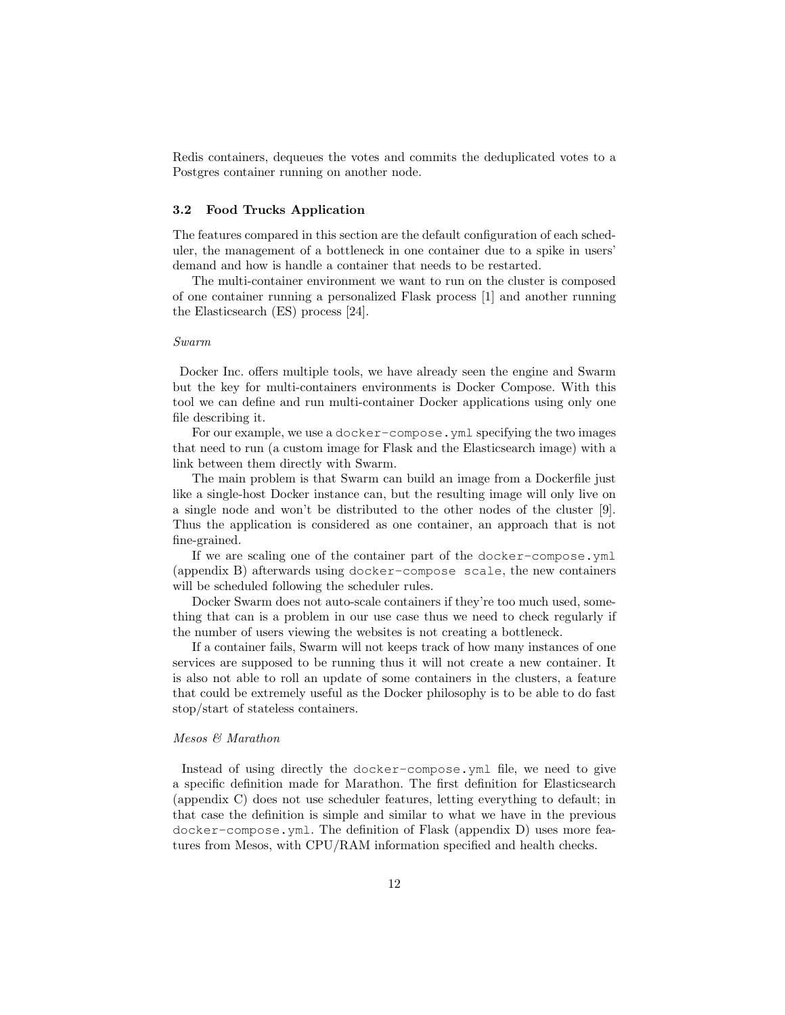Redis containers, dequeues the votes and commits the deduplicated votes to a Postgres container running on another node.

### 3.2 Food Trucks Application

The features compared in this section are the default configuration of each scheduler, the management of a bottleneck in one container due to a spike in users' demand and how is handle a container that needs to be restarted.

The multi-container environment we want to run on the cluster is composed of one container running a personalized Flask process [1] and another running the Elasticsearch (ES) process [24].

#### Swarm

Docker Inc. offers multiple tools, we have already seen the engine and Swarm but the key for multi-containers environments is Docker Compose. With this tool we can define and run multi-container Docker applications using only one file describing it.

For our example, we use a docker-compose.yml specifying the two images that need to run (a custom image for Flask and the Elasticsearch image) with a link between them directly with Swarm.

The main problem is that Swarm can build an image from a Dockerfile just like a single-host Docker instance can, but the resulting image will only live on a single node and won't be distributed to the other nodes of the cluster [9]. Thus the application is considered as one container, an approach that is not fine-grained.

If we are scaling one of the container part of the docker-compose.yml (appendix B) afterwards using docker-compose scale, the new containers will be scheduled following the scheduler rules.

Docker Swarm does not auto-scale containers if they're too much used, something that can is a problem in our use case thus we need to check regularly if the number of users viewing the websites is not creating a bottleneck.

If a container fails, Swarm will not keeps track of how many instances of one services are supposed to be running thus it will not create a new container. It is also not able to roll an update of some containers in the clusters, a feature that could be extremely useful as the Docker philosophy is to be able to do fast stop/start of stateless containers.

# Mesos & Marathon

Instead of using directly the docker-compose.yml file, we need to give a specific definition made for Marathon. The first definition for Elasticsearch (appendix C) does not use scheduler features, letting everything to default; in that case the definition is simple and similar to what we have in the previous docker-compose.yml. The definition of Flask (appendix D) uses more features from Mesos, with CPU/RAM information specified and health checks.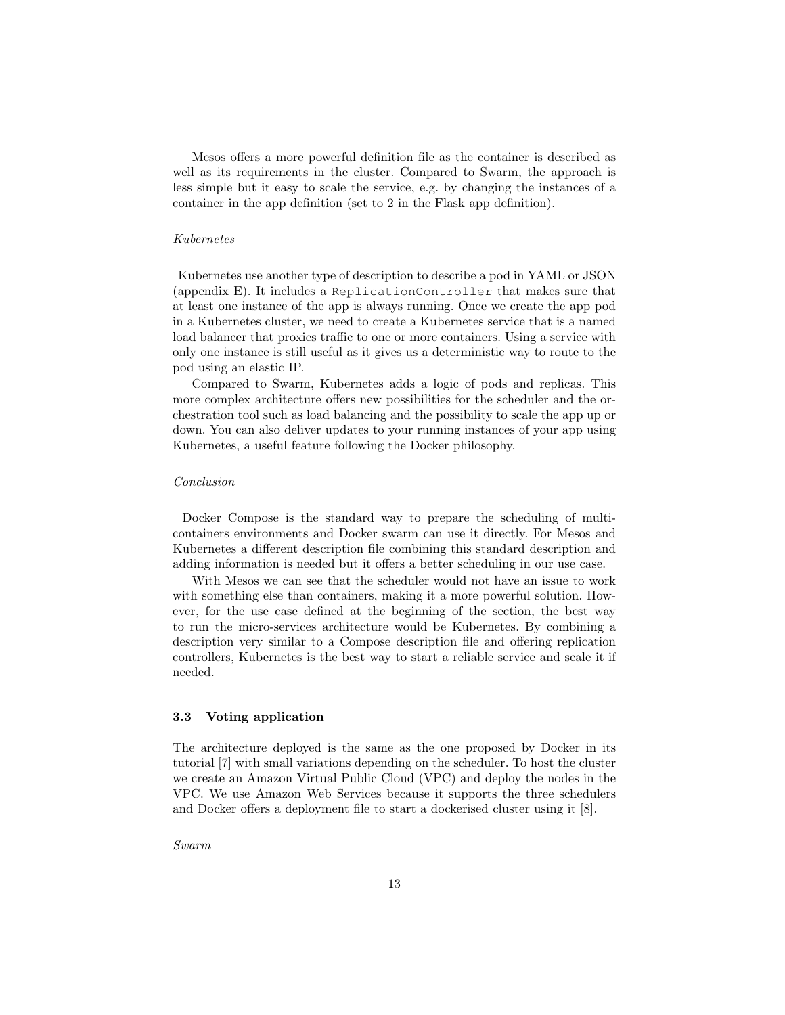Mesos offers a more powerful definition file as the container is described as well as its requirements in the cluster. Compared to Swarm, the approach is less simple but it easy to scale the service, e.g. by changing the instances of a container in the app definition (set to 2 in the Flask app definition).

#### Kubernetes

Kubernetes use another type of description to describe a pod in YAML or JSON (appendix E). It includes a ReplicationController that makes sure that at least one instance of the app is always running. Once we create the app pod in a Kubernetes cluster, we need to create a Kubernetes service that is a named load balancer that proxies traffic to one or more containers. Using a service with only one instance is still useful as it gives us a deterministic way to route to the pod using an elastic IP.

Compared to Swarm, Kubernetes adds a logic of pods and replicas. This more complex architecture offers new possibilities for the scheduler and the orchestration tool such as load balancing and the possibility to scale the app up or down. You can also deliver updates to your running instances of your app using Kubernetes, a useful feature following the Docker philosophy.

#### Conclusion

Docker Compose is the standard way to prepare the scheduling of multicontainers environments and Docker swarm can use it directly. For Mesos and Kubernetes a different description file combining this standard description and adding information is needed but it offers a better scheduling in our use case.

With Mesos we can see that the scheduler would not have an issue to work with something else than containers, making it a more powerful solution. However, for the use case defined at the beginning of the section, the best way to run the micro-services architecture would be Kubernetes. By combining a description very similar to a Compose description file and offering replication controllers, Kubernetes is the best way to start a reliable service and scale it if needed.

# 3.3 Voting application

The architecture deployed is the same as the one proposed by Docker in its tutorial [7] with small variations depending on the scheduler. To host the cluster we create an Amazon Virtual Public Cloud (VPC) and deploy the nodes in the VPC. We use Amazon Web Services because it supports the three schedulers and Docker offers a deployment file to start a dockerised cluster using it [8].

Swarm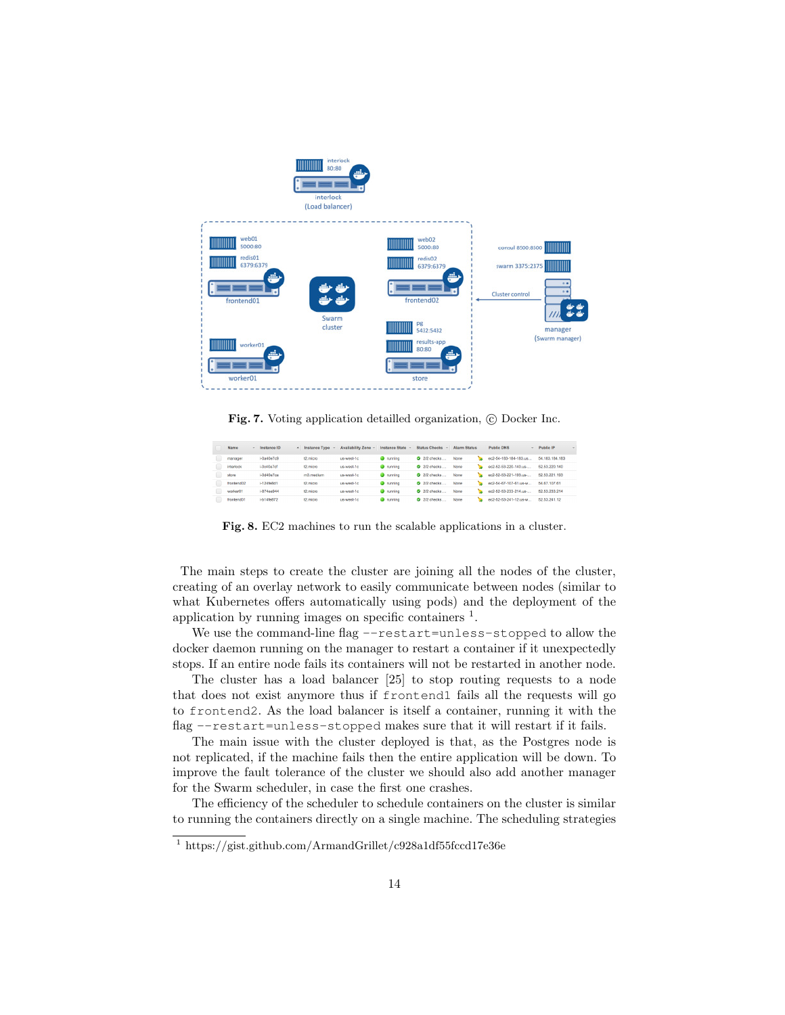

Fig. 7. Voting application detailled organization,  $\odot$  Docker Inc.

| Name       | Instance ID        | <b>Instance Type</b> | <b>Availability Zone</b> | <b>Instance State</b> | <b>Status Checks</b> | <b>Alarm Status</b> | <b>Public DNS</b>     | $~\vee$ Public IP<br>$\sim$ |
|------------|--------------------|----------------------|--------------------------|-----------------------|----------------------|---------------------|-----------------------|-----------------------------|
| manager    | $i$ -0a40e $7c9$   | t2.micro             | us-west-1c               | $\bullet$ running     | 2/2 checks           | None                | ec2-54-183-184-183.us | 54.183.184.183              |
| interlock  | i-Do40e7cf         | 12 micro             | us-west-1c               | <b>O</b> running      | 2 2/2 checks         | None                | ec2-52-53-220-140.us- | 52.53.220.140               |
| store      | i-Od40e7ce         | m3 medium            | us-west-1c               | <b>O</b> running      | <b>2</b> 2/2 checks  | None<br>×.          | ec2-52-53-221-193.us- | 52.53.221.193               |
| frontend02 | $i - 124$ fe $8d1$ | t2.micro             | us-west-1c               | $\bullet$ running     | 2/2 checks           | None                | ec2-54-67-107-61.us-w | 54.67.107.61                |
| worker01   | $i$ -874 $n$ e944  | 12 micro             | us-west-1c               | <b>O</b> running      | 2/2 checks.          | None                | ec2-52-53-233-214.us- | 52.53.233.214               |
| frontend01 | i-b14fe872         | t2.micro             | us-west-1c               | $\bullet$ running     | 2/2 checks           | None                | ec2-52-53-241-12.us-w | 52.53.241.12                |

Fig. 8. EC2 machines to run the scalable applications in a cluster.

The main steps to create the cluster are joining all the nodes of the cluster, creating of an overlay network to easily communicate between nodes (similar to what Kubernetes offers automatically using pods) and the deployment of the application by running images on specific containers  $<sup>1</sup>$ .</sup>

We use the command-line flag --restart=unless-stopped to allow the docker daemon running on the manager to restart a container if it unexpectedly stops. If an entire node fails its containers will not be restarted in another node.

The cluster has a load balancer [25] to stop routing requests to a node that does not exist anymore thus if frontend1 fails all the requests will go to frontend2. As the load balancer is itself a container, running it with the flag --restart=unless-stopped makes sure that it will restart if it fails.

The main issue with the cluster deployed is that, as the Postgres node is not replicated, if the machine fails then the entire application will be down. To improve the fault tolerance of the cluster we should also add another manager for the Swarm scheduler, in case the first one crashes.

The efficiency of the scheduler to schedule containers on the cluster is similar to running the containers directly on a single machine. The scheduling strategies

<sup>1</sup> https://gist.github.com/ArmandGrillet/c928a1df55fccd17e36e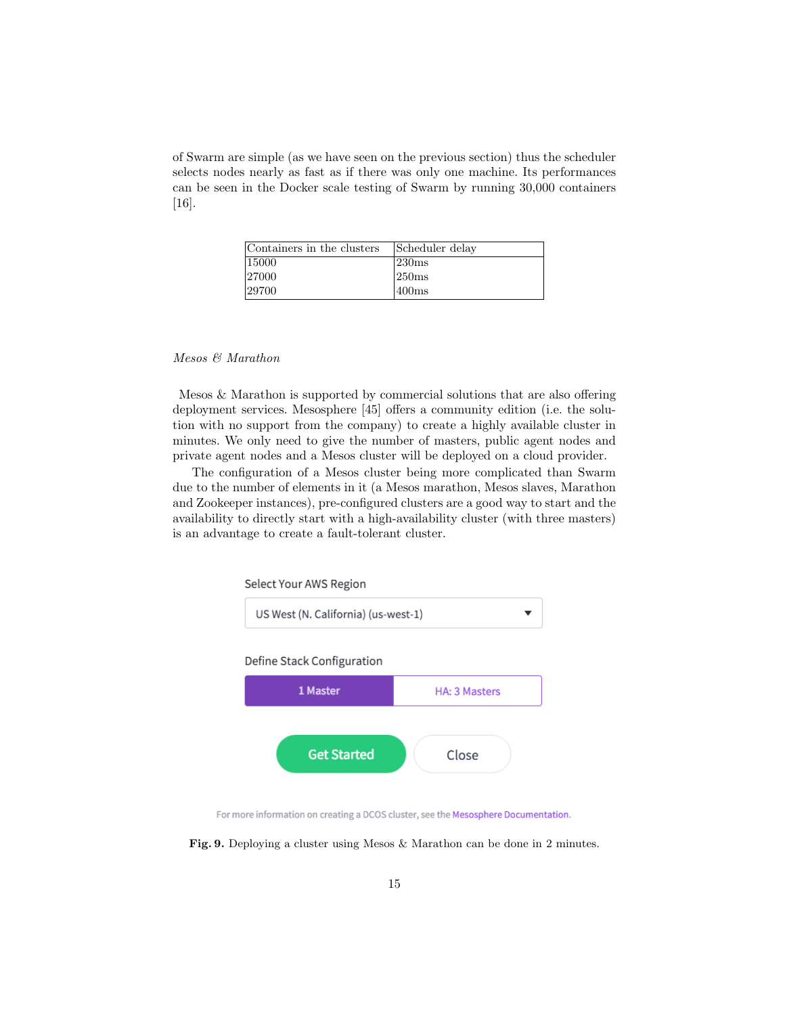of Swarm are simple (as we have seen on the previous section) thus the scheduler selects nodes nearly as fast as if there was only one machine. Its performances can be seen in the Docker scale testing of Swarm by running 30,000 containers [16].

| Containers in the clusters | Scheduler delay   |
|----------------------------|-------------------|
| 15000                      | 230 <sub>ms</sub> |
| 27000                      | 250 <sub>ms</sub> |
| 29700                      | 400ms             |

# Mesos & Marathon

Mesos & Marathon is supported by commercial solutions that are also offering deployment services. Mesosphere [45] offers a community edition (i.e. the solution with no support from the company) to create a highly available cluster in minutes. We only need to give the number of masters, public agent nodes and private agent nodes and a Mesos cluster will be deployed on a cloud provider.

The configuration of a Mesos cluster being more complicated than Swarm due to the number of elements in it (a Mesos marathon, Mesos slaves, Marathon and Zookeeper instances), pre-configured clusters are a good way to start and the availability to directly start with a high-availability cluster (with three masters) is an advantage to create a fault-tolerant cluster.



For more information on creating a DCOS cluster, see the Mesosphere Documentation.

Fig. 9. Deploying a cluster using Mesos & Marathon can be done in 2 minutes.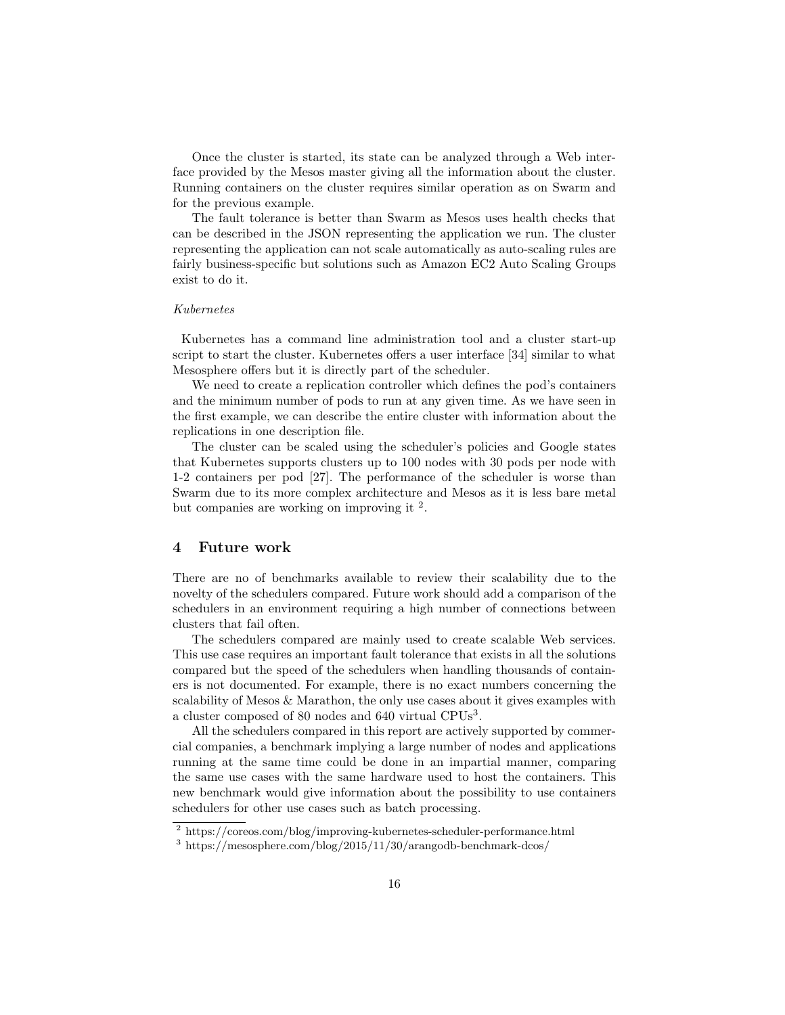Once the cluster is started, its state can be analyzed through a Web interface provided by the Mesos master giving all the information about the cluster. Running containers on the cluster requires similar operation as on Swarm and for the previous example.

The fault tolerance is better than Swarm as Mesos uses health checks that can be described in the JSON representing the application we run. The cluster representing the application can not scale automatically as auto-scaling rules are fairly business-specific but solutions such as Amazon EC2 Auto Scaling Groups exist to do it.

#### Kubernetes

Kubernetes has a command line administration tool and a cluster start-up script to start the cluster. Kubernetes offers a user interface [34] similar to what Mesosphere offers but it is directly part of the scheduler.

We need to create a replication controller which defines the pod's containers and the minimum number of pods to run at any given time. As we have seen in the first example, we can describe the entire cluster with information about the replications in one description file.

The cluster can be scaled using the scheduler's policies and Google states that Kubernetes supports clusters up to 100 nodes with 30 pods per node with 1-2 containers per pod [27]. The performance of the scheduler is worse than Swarm due to its more complex architecture and Mesos as it is less bare metal but companies are working on improving it <sup>2</sup>.

# 4 Future work

There are no of benchmarks available to review their scalability due to the novelty of the schedulers compared. Future work should add a comparison of the schedulers in an environment requiring a high number of connections between clusters that fail often.

The schedulers compared are mainly used to create scalable Web services. This use case requires an important fault tolerance that exists in all the solutions compared but the speed of the schedulers when handling thousands of containers is not documented. For example, there is no exact numbers concerning the scalability of Mesos & Marathon, the only use cases about it gives examples with a cluster composed of 80 nodes and 640 virtual CPUs<sup>3</sup>.

All the schedulers compared in this report are actively supported by commercial companies, a benchmark implying a large number of nodes and applications running at the same time could be done in an impartial manner, comparing the same use cases with the same hardware used to host the containers. This new benchmark would give information about the possibility to use containers schedulers for other use cases such as batch processing.

<sup>2</sup> https://coreos.com/blog/improving-kubernetes-scheduler-performance.html

 $3 \text{ https://mesosphere.com/blog}/2015/11/30/arangodb-benchmark-dcos/$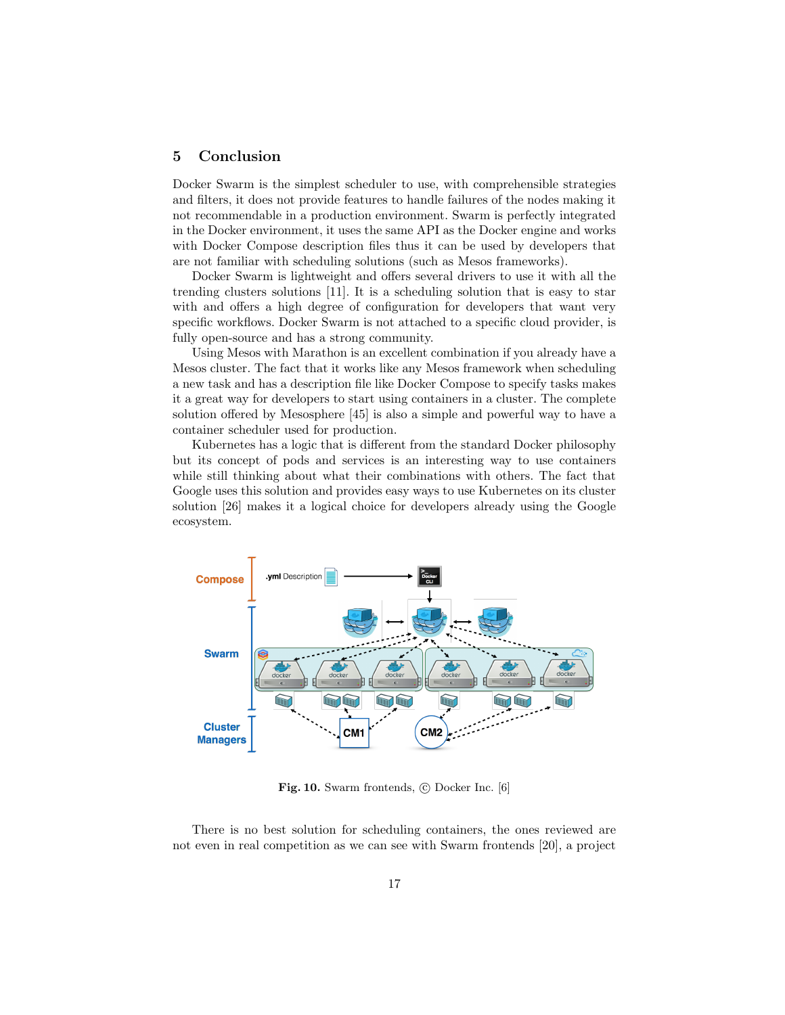# 5 Conclusion

Docker Swarm is the simplest scheduler to use, with comprehensible strategies and filters, it does not provide features to handle failures of the nodes making it not recommendable in a production environment. Swarm is perfectly integrated in the Docker environment, it uses the same API as the Docker engine and works with Docker Compose description files thus it can be used by developers that are not familiar with scheduling solutions (such as Mesos frameworks).

Docker Swarm is lightweight and offers several drivers to use it with all the trending clusters solutions [11]. It is a scheduling solution that is easy to star with and offers a high degree of configuration for developers that want very specific workflows. Docker Swarm is not attached to a specific cloud provider, is fully open-source and has a strong community.

Using Mesos with Marathon is an excellent combination if you already have a Mesos cluster. The fact that it works like any Mesos framework when scheduling a new task and has a description file like Docker Compose to specify tasks makes it a great way for developers to start using containers in a cluster. The complete solution offered by Mesosphere [45] is also a simple and powerful way to have a container scheduler used for production.

Kubernetes has a logic that is different from the standard Docker philosophy but its concept of pods and services is an interesting way to use containers while still thinking about what their combinations with others. The fact that Google uses this solution and provides easy ways to use Kubernetes on its cluster solution [26] makes it a logical choice for developers already using the Google ecosystem.



Fig. 10. Swarm frontends,  $\odot$  Docker Inc. [6]

There is no best solution for scheduling containers, the ones reviewed are not even in real competition as we can see with Swarm frontends [20], a project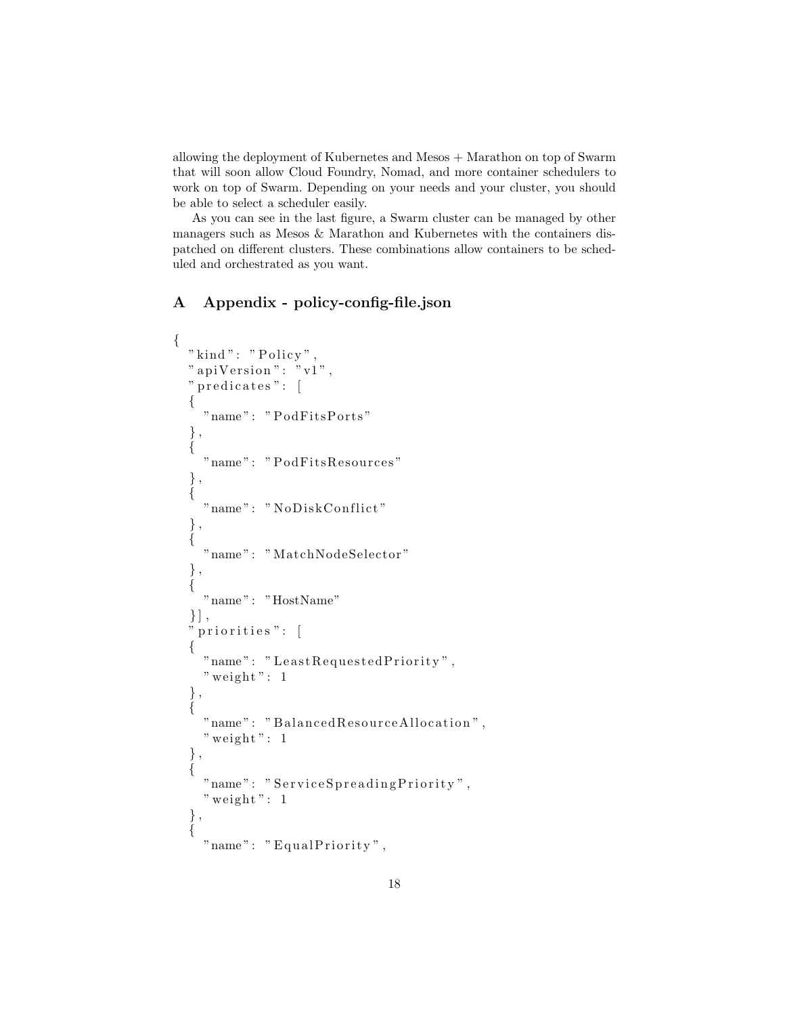allowing the deployment of Kubernetes and Mesos + Marathon on top of Swarm that will soon allow Cloud Foundry, Nomad, and more container schedulers to work on top of Swarm. Depending on your needs and your cluster, you should be able to select a scheduler easily.

As you can see in the last figure, a Swarm cluster can be managed by other managers such as Mesos & Marathon and Kubernetes with the containers dispatched on different clusters. These combinations allow containers to be scheduled and orchestrated as you want.

# A Appendix - policy-config-file.json

```
{
  " kind ": " P olicy",
  " a piV ersion": "v1",
  " predicates": [
  \{"name": "PodFitsPorts"
  } ,
  {
    "name": "PodFitsResources"
  } ,
  {
    "name": "NoDiskConflict"
  } ,
  {
    "name": "MatchNodeSelector"
  } ,
  {
    " name" : "HostName"
  \}],
   priorities": [
  {
    "name": "LeastRequestedPriority",
    " weight": 1} ,
  {
    "name": "BalancedResourceAllocation",
    " weight": 1} ,
  {
    "name": "ServiceSpreadingPriority",
    " weight": 1} ,
  {
    "name" : "EqualPriority",
```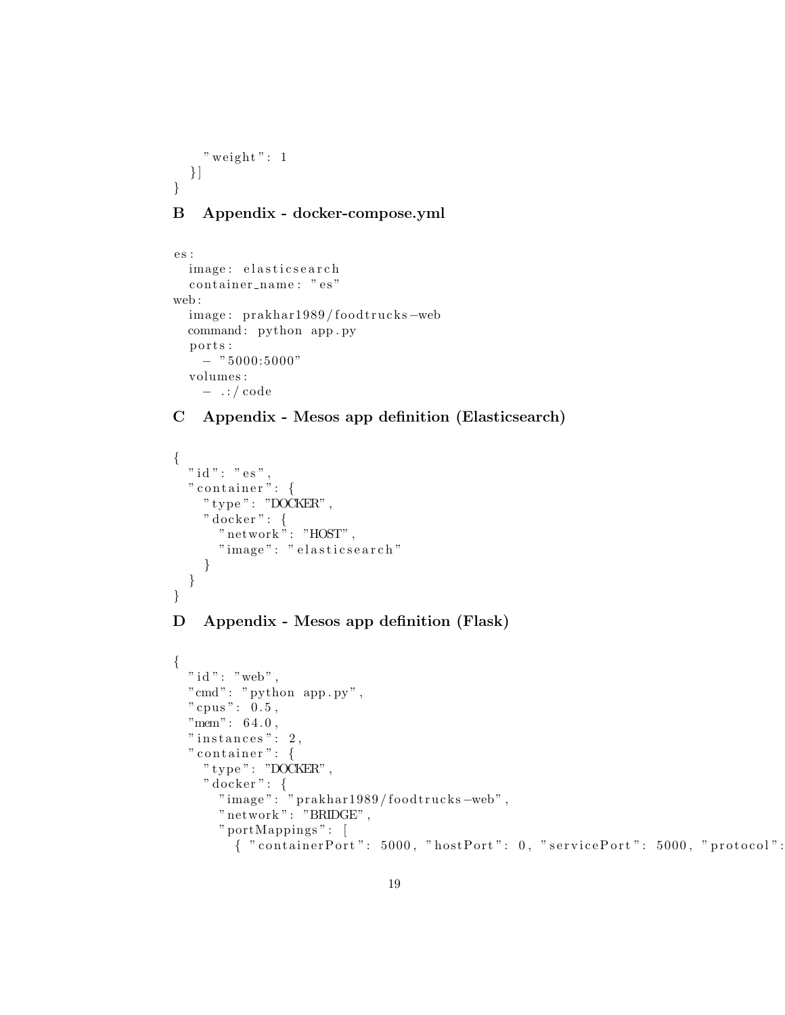```
" weight": 1} ]
}
```
# B Appendix - docker-compose.yml

```
es :
  image: elasticsearch
  container_name: "es"
web :
  image: prakhar1989/foodtrucks-web
  command: python app.py
  ports:
    - " 5000:5000"volumes :
   − . : / code
```
# C Appendix - Mesos app definition (Elasticsearch)

```
{
  " id ": " es",
  " container": {
    " type": "DOCKER",
    " docker": {
      " network": "HOST",
      " image" : " elasticsearch"
    }
  }
}
```
# D Appendix - Mesos app definition (Flask)

```
{
 " id " : " web" ,
  " cmd": " python app.py",
  " cpus": 0.5,
  "mem" : 64.0,
  " instances": 2,
  " container ": {
    " type": "DOCKER",
    " docker": {
      "image": " prakhar1989/foodtrucks-web",
      " network": "BRIDGE",
      " portMappings " : [
         \{ "containerPort": 5000, "hostPort": 0, "servicePort": 5000, "protocol":
```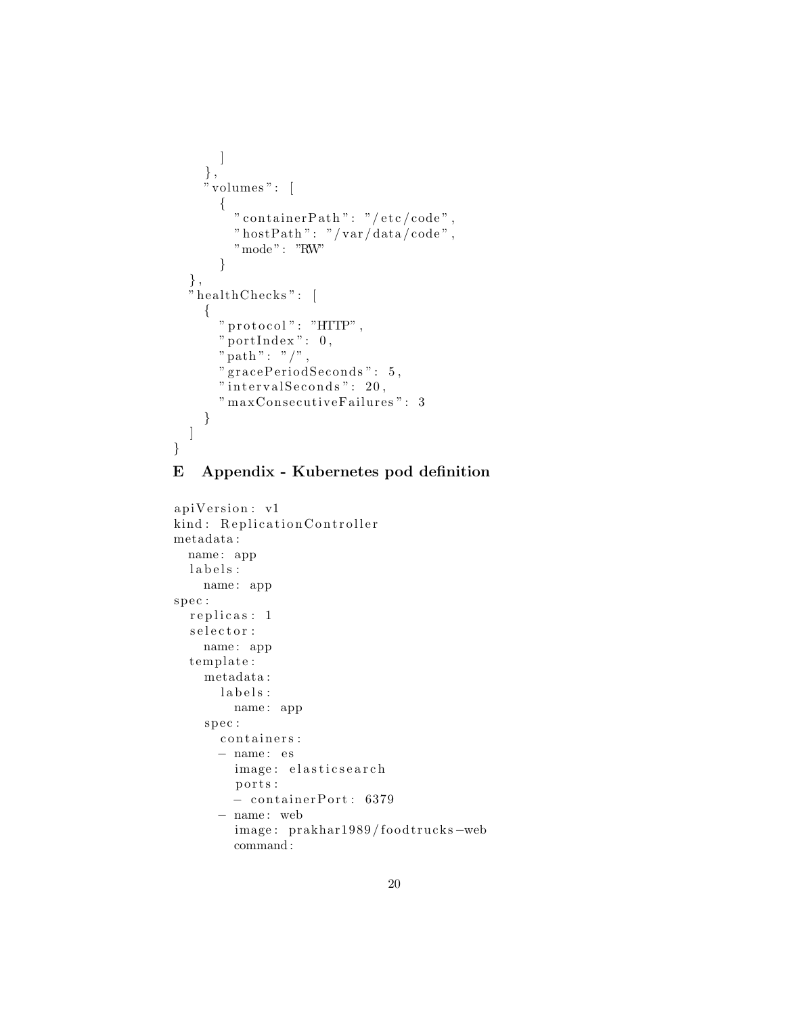```
]
     } ,
     "\overline{\text{volumes}}": [
        {
          " container Path": "/etc/code",
          " hostPath": "/var/data/code",
          "mode": "RW"}
   } ,
   " healthChecks": [
     {
       " protocol": "HTTP",
        " portIndex": 0,
        " path": "/",
        " gracePeriodSeconds": 5,
        "intervals <math>1 seconds" : 20,
        "maxConsecutive<del>F</math> a<br>ilures" : <math>3</math></del>
     }
  ]
}
```
# E Appendix - Kubernetes pod definition

```
apiVersion: v1
kind: Replication Controller
metadata :
  name : app
  l\,a\,b\,e\,l\,s :
    name : app
spec :
  replicas: 1
  \verb|selector|name : app
  template:
    metadata :
       labels:name : app
    spec:
       containers:
      − name : e s
         image: elasticsearch
         ports:
         − c o n t ai n e rP o r t : 6379
      − name : web
         image: prakhar1989/foodtrucks-web
         command :
```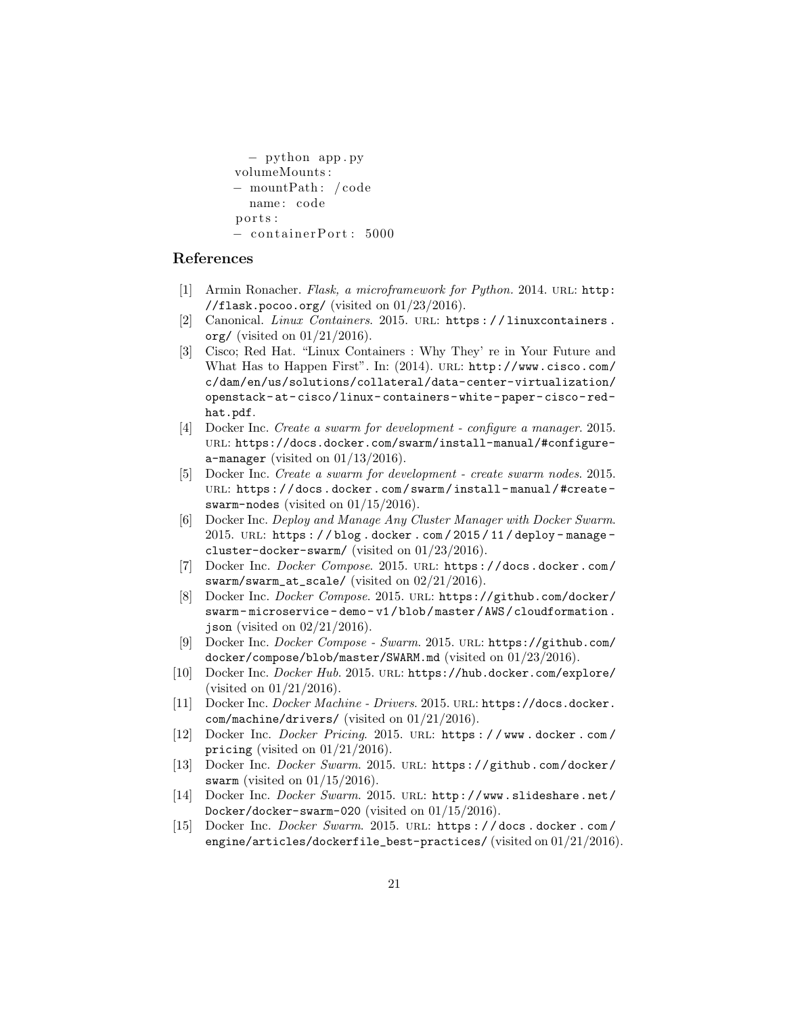```
− python app . py
volumeMounts :
− mountPath : / code
  name: code
ports:
− c o n t ai n e rP o r t : 5000
```
# References

- [1] Armin Ronacher. Flask, a microframework for Python. 2014. URL: http: //flask.pocoo.org/ (visited on  $01/23/2016$ ).
- [2] Canonical. Linux Containers. 2015. URL: https://linuxcontainers. org/ (visited on  $01/21/2016$ ).
- [3] Cisco; Red Hat. "Linux Containers : Why They' re in Your Future and What Has to Happen First". In: (2014). URL: http://www.cisco.com/ c/dam/en/us/solutions/collateral/data-center-virtualization/ openstack- at- cisco/linux- containers- white- paper- cisco- redhat.pdf.
- [4] Docker Inc. Create a swarm for development configure a manager. 2015. url: https://docs.docker.com/swarm/install-manual/#configurea-manager (visited on  $01/13/2016$ ).
- [5] Docker Inc. Create a swarm for development create swarm nodes. 2015. URL: https://docs.docker.com/swarm/install-manual/#createswarm-nodes (visited on  $01/15/2016$ ).
- [6] Docker Inc. Deploy and Manage Any Cluster Manager with Docker Swarm. 2015. url: https : / / blog . docker . com / 2015 / 11 / deploy - manage cluster-docker-swarm/ (visited on 01/23/2016).
- [7] Docker Inc. Docker Compose. 2015. url: https://docs.docker.com/ swarm/swarm\_at\_scale/ (visited on 02/21/2016).
- [8] Docker Inc. Docker Compose. 2015. URL: https://github.com/docker/ swarm- microservice- demo- v1/blob/master/AWS/cloudformation. json (visited on  $02/21/2016$ ).
- [9] Docker Inc. Docker Compose Swarm. 2015. url: https://github.com/ docker/compose/blob/master/SWARM.md (visited on 01/23/2016).
- [10] Docker Inc. Docker Hub. 2015. url: https://hub.docker.com/explore/ (visited on 01/21/2016).
- [11] Docker Inc. Docker Machine Drivers. 2015. URL: https://docs.docker. com/machine/drivers/ (visited on 01/21/2016).
- [12] Docker Inc. Docker Pricing. 2015. url: https : / / www . docker . com / pricing (visited on  $01/21/2016$ ).
- [13] Docker Inc. Docker Swarm. 2015. url: https://github.com/docker/ swarm (visited on  $01/15/2016$ ).
- [14] Docker Inc. Docker Swarm. 2015. URL: http://www.slideshare.net/ Docker/docker-swarm-020 (visited on 01/15/2016).
- [15] Docker Inc. *Docker Swarm.* 2015. URL: https://docs.docker.com/ engine/articles/dockerfile\_best-practices/ (visited on 01/21/2016).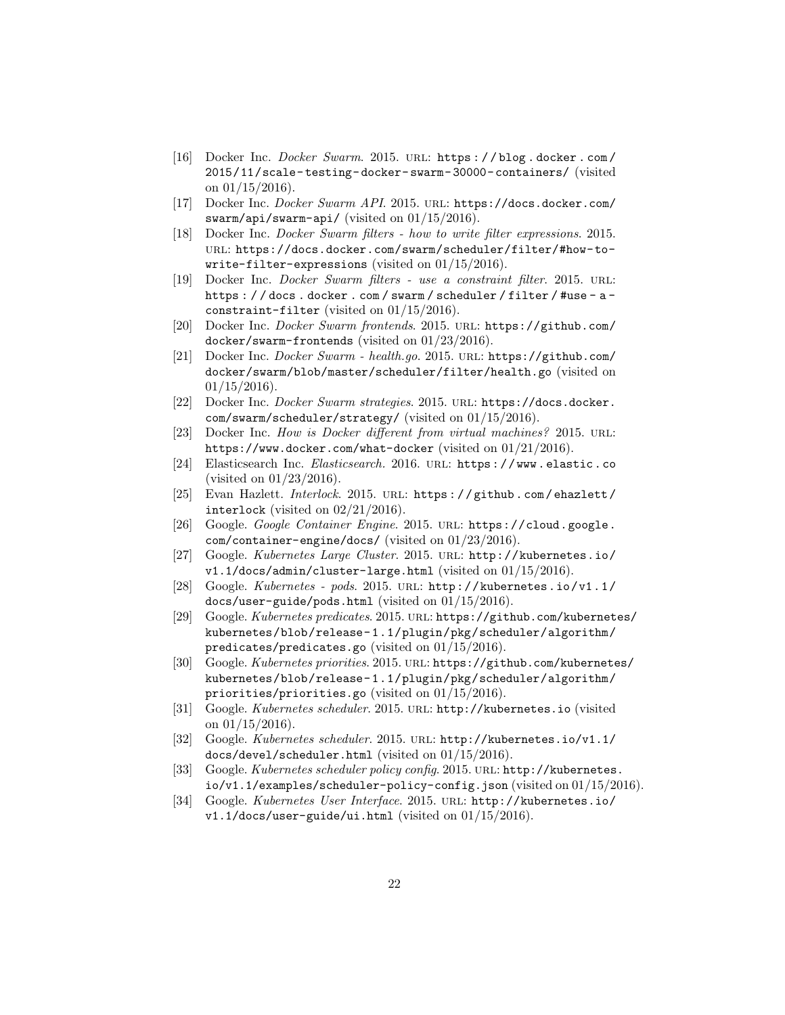- [16] Docker Inc. Docker Swarm. 2015. url: https : / / blog . docker . com / 2015/11/scale- testing- docker- swarm- 30000- containers/ (visited on  $01/15/2016$ ).
- [17] Docker Inc. Docker Swarm API. 2015. url: https://docs.docker.com/ swarm/api/swarm-api/ (visited on 01/15/2016).
- [18] Docker Inc. Docker Swarm filters how to write filter expressions. 2015. url: https://docs.docker.com/swarm/scheduler/filter/#how-towrite-filter-expressions (visited on 01/15/2016).
- [19] Docker Inc. *Docker Swarm filters use a constraint filter*. 2015. URL: https : / / docs . docker . com / swarm / scheduler / filter / #use - a constraint-filter (visited on 01/15/2016).
- [20] Docker Inc. Docker Swarm frontends. 2015. url: https://github.com/ docker/swarm-frontends (visited on 01/23/2016).
- [21] Docker Inc. Docker Swarm health.go. 2015. url: https://github.com/ docker/swarm/blob/master/scheduler/filter/health.go (visited on  $01/15/2016$ .
- [22] Docker Inc. Docker Swarm strategies. 2015. URL: https://docs.docker. com/swarm/scheduler/strategy/ (visited on 01/15/2016).
- [23] Docker Inc. How is Docker different from virtual machines? 2015. URL: https://www.docker.com/what-docker (visited on 01/21/2016).
- [24] Elasticsearch Inc. Elasticsearch. 2016. URL: https://www.elastic.co (visited on 01/23/2016).
- [25] Evan Hazlett. Interlock. 2015. URL: https://github.com/ehazlett/ interlock (visited on 02/21/2016).
- [26] Google. Google Container Engine. 2015. url: https://cloud.google. com/container-engine/docs/ (visited on 01/23/2016).
- [27] Google. Kubernetes Large Cluster. 2015. url: http://kubernetes.io/  $v1.1/docs/admin/cluster-large.html$  (visited on  $01/15/2016$ ).
- [28] Google. Kubernetes pods. 2015. url: http://kubernetes.io/v1.1/ docs/user-guide/pods.html (visited on 01/15/2016).
- [29] Google. Kubernetes predicates. 2015. url: https://github.com/kubernetes/ kubernetes/blob/release- 1.1/plugin/pkg/scheduler/algorithm/ predicates/predicates.go (visited on 01/15/2016).
- [30] Google. Kubernetes priorities. 2015. url: https://github.com/kubernetes/ kubernetes/blob/release- 1.1/plugin/pkg/scheduler/algorithm/ priorities/priorities.go (visited on 01/15/2016).
- [31] Google. Kubernetes scheduler. 2015. URL: http://kubernetes.io (visited on  $01/15/2016$ ).
- [32] Google. Kubernetes scheduler. 2015. url: http://kubernetes.io/v1.1/ docs/devel/scheduler.html (visited on 01/15/2016).
- [33] Google. Kubernetes scheduler policy config. 2015. URL: http://kubernetes. io/v1.1/examples/scheduler-policy-config.json (visited on 01/15/2016).
- [34] Google. Kubernetes User Interface. 2015. url: http://kubernetes.io/ v1.1/docs/user-guide/ui.html (visited on 01/15/2016).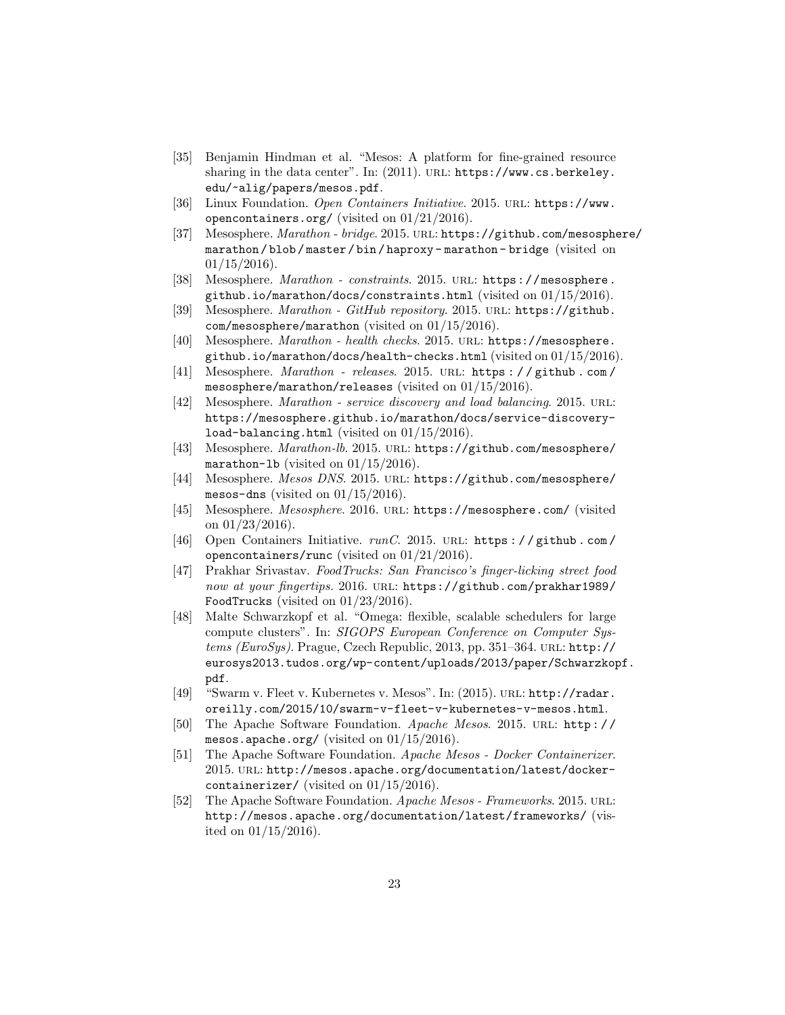- [35] Benjamin Hindman et al. "Mesos: A platform for fine-grained resource sharing in the data center". In: (2011). URL: https://www.cs.berkeley. edu/~alig/papers/mesos.pdf.
- [36] Linux Foundation. Open Containers Initiative. 2015. URL: https://www. opencontainers.org/ (visited on 01/21/2016).
- [37] Mesosphere. Marathon bridge. 2015. URL: https://github.com/mesosphere/ marathon / blob / master / bin / haproxy - marathon - bridge (visited on  $01/15/2016$ .
- [38] Mesosphere. *Marathon constraints.* 2015. URL: https://mesosphere. github.io/marathon/docs/constraints.html (visited on 01/15/2016).
- [39] Mesosphere. Marathon GitHub repository. 2015. URL: https://github. com/mesosphere/marathon (visited on 01/15/2016).
- [40] Mesosphere. Marathon health checks. 2015. url: https://mesosphere. github.io/marathon/docs/health-checks.html (visited on  $01/15/2016$ ).
- [41] Mesosphere. Marathon releases. 2015. URL: https://github.com/ mesosphere/marathon/releases (visited on 01/15/2016).
- [42] Mesosphere. *Marathon service discovery and load balancing*. 2015. URL: https://mesosphere.github.io/marathon/docs/service-discoveryload-balancing.html (visited on 01/15/2016).
- [43] Mesosphere. Marathon-lb. 2015. url: https://github.com/mesosphere/ marathon-1b (visited on  $01/15/2016$ ).
- [44] Mesosphere. Mesos DNS. 2015. URL: https://github.com/mesosphere/ mesos-dns (visited on  $01/15/2016$ ).
- [45] Mesosphere. Mesosphere. 2016. URL: https://mesosphere.com/ (visited on 01/23/2016).
- [46] Open Containers Initiative. runC. 2015. URL: https://github.com/ opencontainers/runc (visited on 01/21/2016).
- [47] Prakhar Srivastav. FoodTrucks: San Francisco's finger-licking street food now at your fingertips. 2016. URL: https://github.com/prakhar1989/ FoodTrucks (visited on 01/23/2016).
- [48] Malte Schwarzkopf et al. "Omega: flexible, scalable schedulers for large compute clusters". In: SIGOPS European Conference on Computer Sys $tems$  (EuroSys). Prague, Czech Republic, 2013, pp. 351–364. URL: http:// eurosys2013.tudos.org/wp-content/uploads/2013/paper/Schwarzkopf. pdf.
- [49] "Swarm v. Fleet v. Kubernetes v. Mesos". In: (2015). url: http://radar. oreilly.com/2015/10/swarm-v-fleet-v-kubernetes-v-mesos.html.
- [50] The Apache Software Foundation. Apache Mesos. 2015. URL: http:// mesos.apache.org/ (visited on  $01/15/2016$ ).
- [51] The Apache Software Foundation. Apache Mesos Docker Containerizer. 2015. url: http://mesos.apache.org/documentation/latest/dockercontainerizer/ (visited on 01/15/2016).
- [52] The Apache Software Foundation. Apache Mesos Frameworks. 2015. URL: http://mesos.apache.org/documentation/latest/frameworks/ (visited on 01/15/2016).